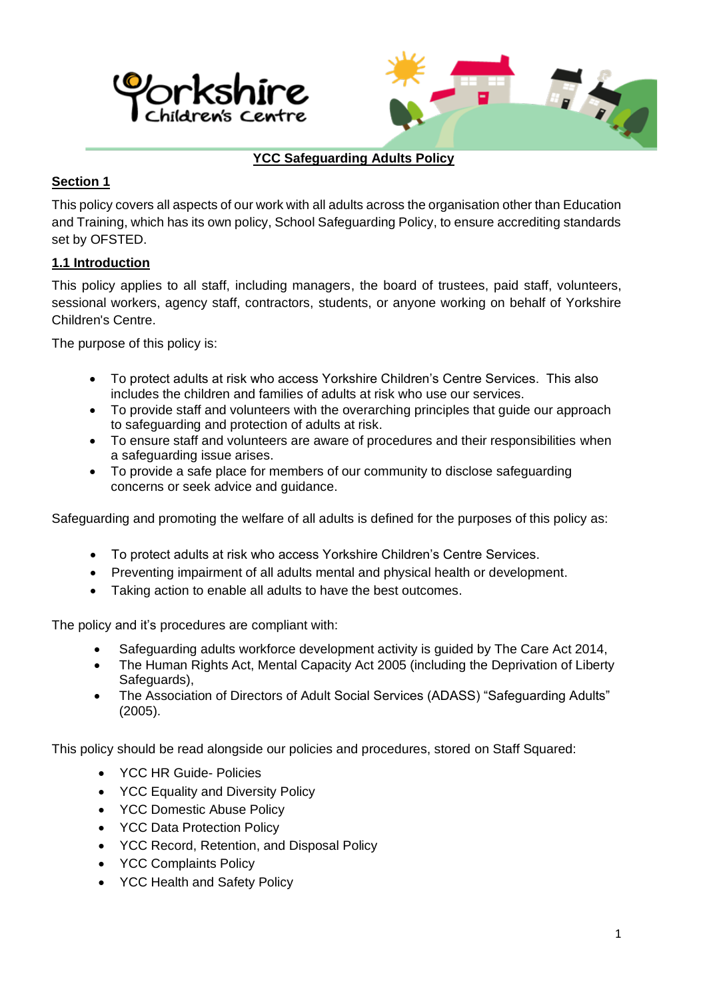



# **YCC Safeguarding Adults Policy**

# **Section 1**

This policy covers all aspects of our work with all adults across the organisation other than Education and Training, which has its own policy, School Safeguarding Policy, to ensure accrediting standards set by OFSTED.

# **1.1 Introduction**

This policy applies to all staff, including managers, the board of trustees, paid staff, volunteers, sessional workers, agency staff, contractors, students, or anyone working on behalf of Yorkshire Children's Centre.

The purpose of this policy is:

- To protect adults at risk who access Yorkshire Children's Centre Services. This also includes the children and families of adults at risk who use our services.
- To provide staff and volunteers with the overarching principles that guide our approach to safeguarding and protection of adults at risk.
- To ensure staff and volunteers are aware of procedures and their responsibilities when a safeguarding issue arises.
- To provide a safe place for members of our community to disclose safeguarding concerns or seek advice and guidance.

Safeguarding and promoting the welfare of all adults is defined for the purposes of this policy as:

- To protect adults at risk who access Yorkshire Children's Centre Services.
- Preventing impairment of all adults mental and physical health or development.
- Taking action to enable all adults to have the best outcomes.

The policy and it's procedures are compliant with:

- Safeguarding adults workforce development activity is guided by The Care Act 2014,
- The Human Rights Act, Mental Capacity Act 2005 (including the Deprivation of Liberty Safeguards),
- The Association of Directors of Adult Social Services (ADASS) "Safeguarding Adults" (2005).

This policy should be read alongside our policies and procedures, stored on Staff Squared:

- YCC HR Guide- Policies
- YCC Equality and Diversity Policy
- YCC Domestic Abuse Policy
- YCC Data Protection Policy
- YCC Record, Retention, and Disposal Policy
- YCC Complaints Policy
- YCC Health and Safety Policy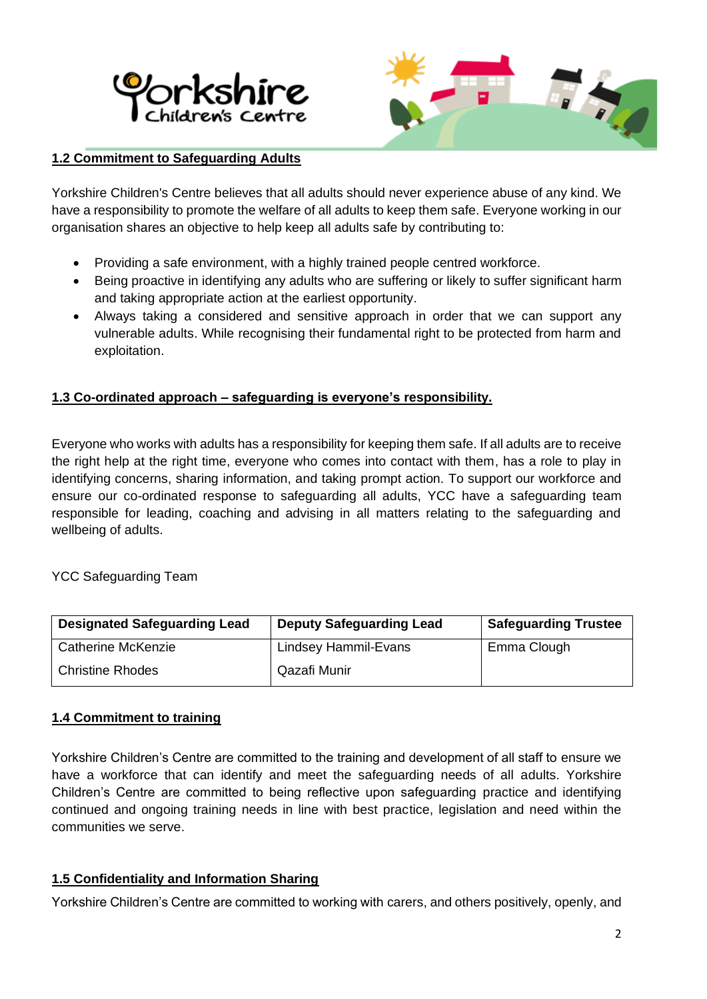



## **1.2 Commitment to Safeguarding Adults**

Yorkshire Children's Centre believes that all adults should never experience abuse of any kind. We have a responsibility to promote the welfare of all adults to keep them safe. Everyone working in our organisation shares an objective to help keep all adults safe by contributing to:

- Providing a safe environment, with a highly trained people centred workforce.
- Being proactive in identifying any adults who are suffering or likely to suffer significant harm and taking appropriate action at the earliest opportunity.
- Always taking a considered and sensitive approach in order that we can support any vulnerable adults. While recognising their fundamental right to be protected from harm and exploitation.

## **1.3 Co-ordinated approach – safeguarding is everyone's responsibility.**

Everyone who works with adults has a responsibility for keeping them safe. If all adults are to receive the right help at the right time, everyone who comes into contact with them, has a role to play in identifying concerns, sharing information, and taking prompt action. To support our workforce and ensure our co-ordinated response to safeguarding all adults, YCC have a safeguarding team responsible for leading, coaching and advising in all matters relating to the safeguarding and wellbeing of adults.

#### YCC Safeguarding Team

| <b>Designated Safeguarding Lead</b> | <b>Deputy Safeguarding Lead</b> | <b>Safeguarding Trustee</b> |
|-------------------------------------|---------------------------------|-----------------------------|
| <b>Catherine McKenzie</b>           | Lindsey Hammil-Evans            | Emma Clough                 |
| <b>Christine Rhodes</b>             | Qazafi Munir                    |                             |

#### **1.4 Commitment to training**

Yorkshire Children's Centre are committed to the training and development of all staff to ensure we have a workforce that can identify and meet the safeguarding needs of all adults. Yorkshire Children's Centre are committed to being reflective upon safeguarding practice and identifying continued and ongoing training needs in line with best practice, legislation and need within the communities we serve.

#### **1.5 Confidentiality and Information Sharing**

Yorkshire Children's Centre are committed to working with carers, and others positively, openly, and